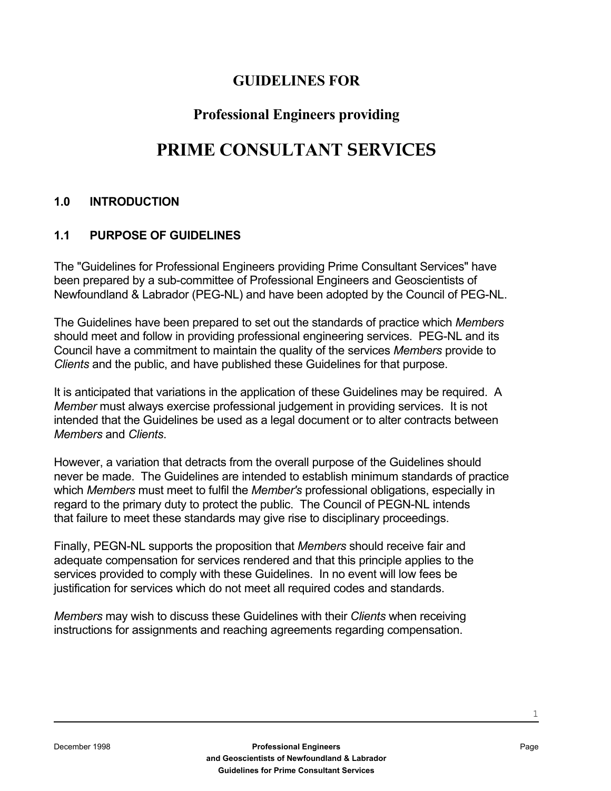### **GUIDELINES FOR**

## **Professional Engineers providing**

# **PRIME CONSULTANT SERVICES**

#### **1.0 INTRODUCTION**

#### **1.1 PURPOSE OF GUIDELINES**

The "Guidelines for Professional Engineers providing Prime Consultant Services" have been prepared by a sub-committee of Professional Engineers and Geoscientists of Newfoundland & Labrador (PEG-NL) and have been adopted by the Council of PEG-NL.

The Guidelines have been prepared to set out the standards of practice which *Members* should meet and follow in providing professional engineering services. PEG-NL and its Council have a commitment to maintain the quality of the services *Members* provide to *Clients* and the public, and have published these Guidelines for that purpose.

It is anticipated that variations in the application of these Guidelines may be required. A *Member* must always exercise professional judgement in providing services. It is not intended that the Guidelines be used as a legal document or to alter contracts between *Members* and *Clients*.

However, a variation that detracts from the overall purpose of the Guidelines should never be made. The Guidelines are intended to establish minimum standards of practice which *Members* must meet to fulfil the *Member's* professional obligations, especially in regard to the primary duty to protect the public. The Council of PEGN-NL intends that failure to meet these standards may give rise to disciplinary proceedings.

Finally, PEGN-NL supports the proposition that *Members* should receive fair and adequate compensation for services rendered and that this principle applies to the services provided to comply with these Guidelines. In no event will low fees be justification for services which do not meet all required codes and standards.

*Members* may wish to discuss these Guidelines with their *Clients* when receiving instructions for assignments and reaching agreements regarding compensation.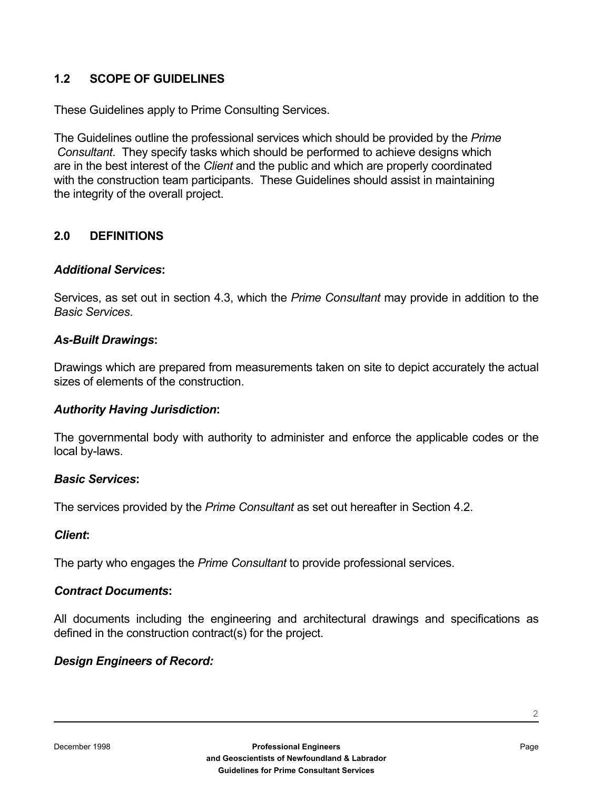#### **1.2 SCOPE OF GUIDELINES**

These Guidelines apply to Prime Consulting Services.

The Guidelines outline the professional services which should be provided by the *Prime Consultant*. They specify tasks which should be performed to achieve designs which are in the best interest of the *Client* and the public and which are properly coordinated with the construction team participants. These Guidelines should assist in maintaining the integrity of the overall project.

#### **2.0 DEFINITIONS**

#### *Additional Services***:**

Services, as set out in section 4.3, which the *Prime Consultant* may provide in addition to the *Basic Services*.

#### *As-Built Drawings***:**

Drawings which are prepared from measurements taken on site to depict accurately the actual sizes of elements of the construction.

#### *Authority Having Jurisdiction***:**

The governmental body with authority to administer and enforce the applicable codes or the local by-laws.

#### *Basic Services***:**

The services provided by the *Prime Consultant* as set out hereafter in Section 4.2.

#### *Client***:**

The party who engages the *Prime Consultant* to provide professional services.

#### *Contract Documents***:**

All documents including the engineering and architectural drawings and specifications as defined in the construction contract(s) for the project.

#### *Design Engineers of Record:*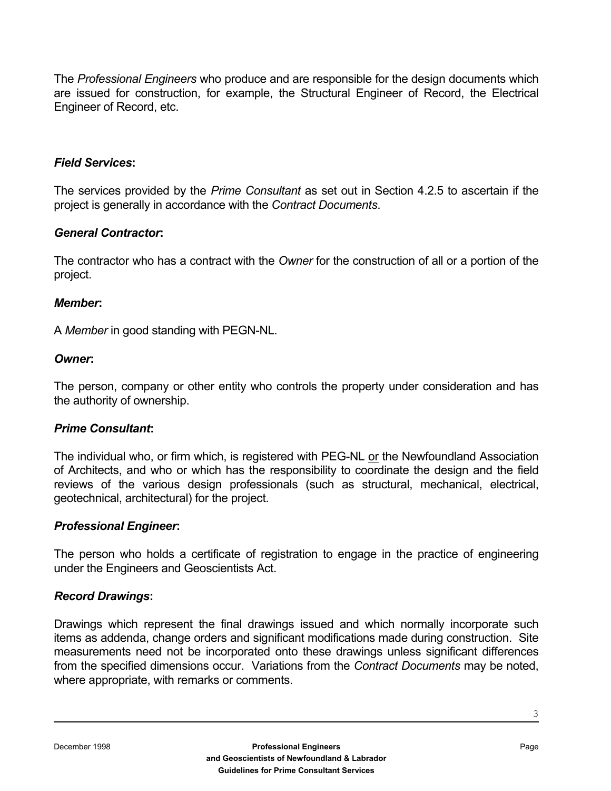The *Professional Engineers* who produce and are responsible for the design documents which are issued for construction, for example, the Structural Engineer of Record, the Electrical Engineer of Record, etc.

#### *Field Services***:**

The services provided by the *Prime Consultant* as set out in Section 4.2.5 to ascertain if the project is generally in accordance with the *Contract Documents*.

#### *General Contractor***:**

The contractor who has a contract with the *Owner* for the construction of all or a portion of the project.

#### *Member***:**

A *Member* in good standing with PEGN-NL*.*

#### *Owner***:**

The person, company or other entity who controls the property under consideration and has the authority of ownership.

#### *Prime Consultant***:**

The individual who, or firm which, is registered with PEG-NL or the Newfoundland Association of Architects, and who or which has the responsibility to coordinate the design and the field reviews of the various design professionals (such as structural, mechanical, electrical, geotechnical, architectural) for the project.

#### *Professional Engineer***:**

The person who holds a certificate of registration to engage in the practice of engineering under the Engineers and Geoscientists Act.

#### *Record Drawings***:**

Drawings which represent the final drawings issued and which normally incorporate such items as addenda, change orders and significant modifications made during construction. Site measurements need not be incorporated onto these drawings unless significant differences from the specified dimensions occur. Variations from the *Contract Documents* may be noted, where appropriate, with remarks or comments.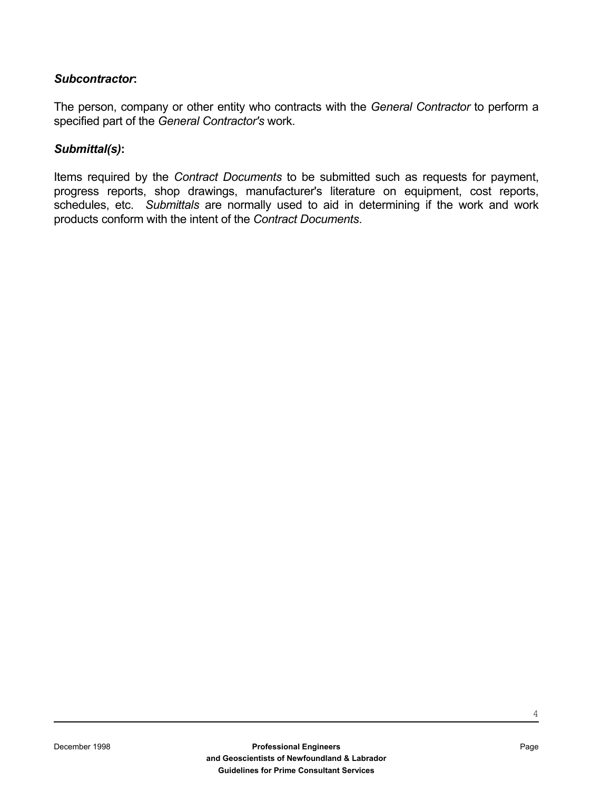#### *Subcontractor***:**

The person, company or other entity who contracts with the *General Contractor* to perform a specified part of the *General Contractor's* work.

#### *Submittal(s)***:**

Items required by the *Contract Documents* to be submitted such as requests for payment, progress reports, shop drawings, manufacturer's literature on equipment, cost reports, schedules, etc. *Submittals* are normally used to aid in determining if the work and work products conform with the intent of the *Contract Documents*.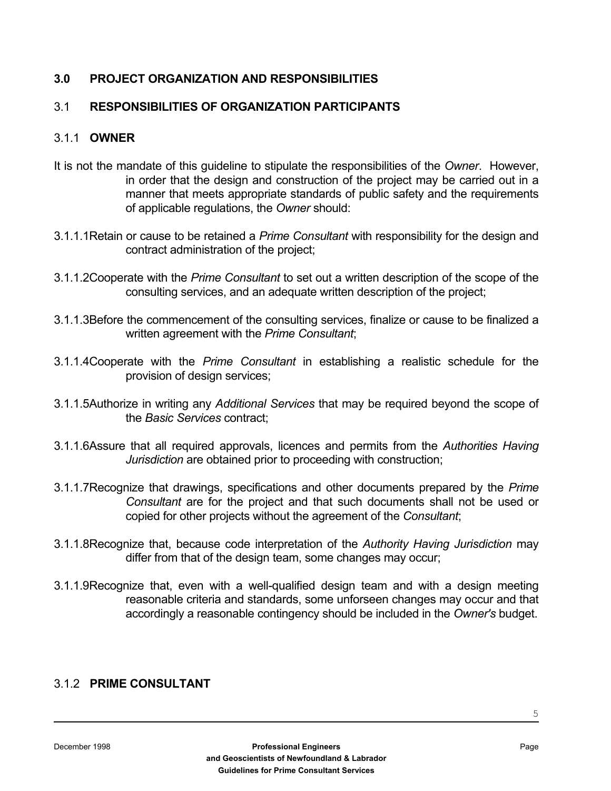#### **3.0 PROJECT ORGANIZATION AND RESPONSIBILITIES**

#### 3.1 **RESPONSIBILITIES OF ORGANIZATION PARTICIPANTS**

#### 3.1.1 **OWNER**

- It is not the mandate of this guideline to stipulate the responsibilities of the *Owner*. However, in order that the design and construction of the project may be carried out in a manner that meets appropriate standards of public safety and the requirements of applicable regulations, the *Owner* should:
- 3.1.1.1Retain or cause to be retained a *Prime Consultant* with responsibility for the design and contract administration of the project;
- 3.1.1.2Cooperate with the *Prime Consultant* to set out a written description of the scope of the consulting services, and an adequate written description of the project;
- 3.1.1.3Before the commencement of the consulting services, finalize or cause to be finalized a written agreement with the *Prime Consultant*;
- 3.1.1.4Cooperate with the *Prime Consultant* in establishing a realistic schedule for the provision of design services;
- 3.1.1.5Authorize in writing any *Additional Services* that may be required beyond the scope of the *Basic Services* contract;
- 3.1.1.6Assure that all required approvals, licences and permits from the *Authorities Having Jurisdiction* are obtained prior to proceeding with construction;
- 3.1.1.7Recognize that drawings, specifications and other documents prepared by the *Prime Consultant* are for the project and that such documents shall not be used or copied for other projects without the agreement of the *Consultant*;
- 3.1.1.8Recognize that, because code interpretation of the *Authority Having Jurisdiction* may differ from that of the design team, some changes may occur;
- 3.1.1.9Recognize that, even with a well-qualified design team and with a design meeting reasonable criteria and standards, some unforseen changes may occur and that accordingly a reasonable contingency should be included in the *Owner's* budget.

#### 3.1.2 **PRIME CONSULTANT**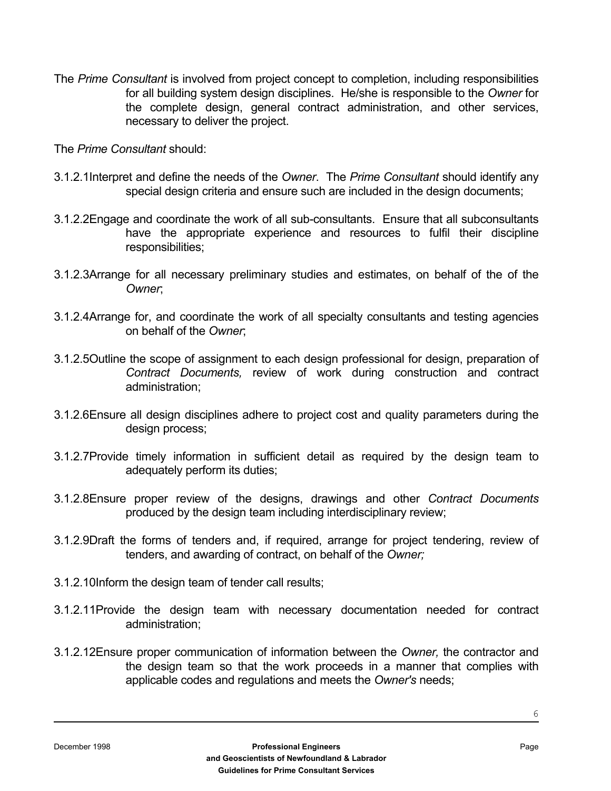The *Prime Consultant* is involved from project concept to completion, including responsibilities for all building system design disciplines. He/she is responsible to the *Owner* for the complete design, general contract administration, and other services, necessary to deliver the project.

The *Prime Consultant* should:

- 3.1.2.1Interpret and define the needs of the *Owner*. The *Prime Consultant* should identify any special design criteria and ensure such are included in the design documents;
- 3.1.2.2Engage and coordinate the work of all sub-consultants. Ensure that all subconsultants have the appropriate experience and resources to fulfil their discipline responsibilities;
- 3.1.2.3Arrange for all necessary preliminary studies and estimates, on behalf of the of the *Owner*;
- 3.1.2.4Arrange for, and coordinate the work of all specialty consultants and testing agencies on behalf of the *Owner*;
- 3.1.2.5Outline the scope of assignment to each design professional for design, preparation of *Contract Documents,* review of work during construction and contract administration;
- 3.1.2.6Ensure all design disciplines adhere to project cost and quality parameters during the design process;
- 3.1.2.7Provide timely information in sufficient detail as required by the design team to adequately perform its duties;
- 3.1.2.8Ensure proper review of the designs, drawings and other *Contract Documents*  produced by the design team including interdisciplinary review;
- 3.1.2.9Draft the forms of tenders and, if required, arrange for project tendering, review of tenders, and awarding of contract, on behalf of the *Owner;*
- 3.1.2.10Inform the design team of tender call results;
- 3.1.2.11Provide the design team with necessary documentation needed for contract administration;
- 3.1.2.12Ensure proper communication of information between the *Owner,* the contractor and the design team so that the work proceeds in a manner that complies with applicable codes and regulations and meets the *Owner's* needs;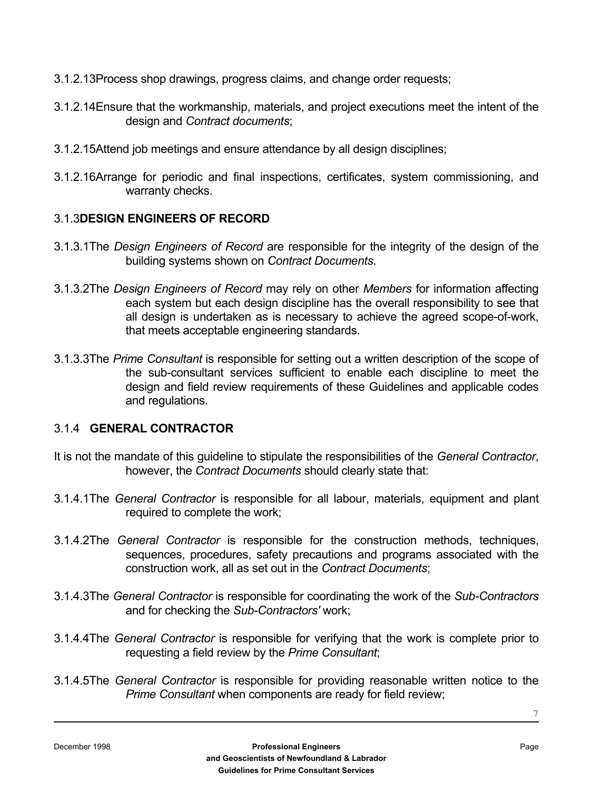- 3.1.2.13Process shop drawings, progress claims, and change order requests;
- 3.1.2.14Ensure that the workmanship, materials, and project executions meet the intent of the design and *Contract documents*;
- 3.1.2.15Attend job meetings and ensure attendance by all design disciplines;
- 3.1.2.16Arrange for periodic and final inspections, certificates, system commissioning, and warranty checks.

#### 3.1.3**DESIGN ENGINEERS OF RECORD**

- 3.1.3.1The *Design Engineers of Record* are responsible for the integrity of the design of the building systems shown on *Contract Documents*.
- 3.1.3.2The *Design Engineers of Record* may rely on other *Members* for information affecting each system but each design discipline has the overall responsibility to see that all design is undertaken as is necessary to achieve the agreed scope-of-work, that meets acceptable engineering standards.
- 3.1.3.3The *Prime Consultant* is responsible for setting out a written description of the scope of the sub-consultant services sufficient to enable each discipline to meet the design and field review requirements of these Guidelines and applicable codes and regulations.

#### 3.1.4 **GENERAL CONTRACTOR**

- It is not the mandate of this guideline to stipulate the responsibilities of the *General Contractor*, however, the *Contract Documents* should clearly state that:
- 3.1.4.1The *General Contractor* is responsible for all labour, materials, equipment and plant required to complete the work;
- 3.1.4.2The *General Contractor* is responsible for the construction methods, techniques, sequences, procedures, safety precautions and programs associated with the construction work, all as set out in the *Contract Documents*;
- 3.1.4.3The *General Contractor* is responsible for coordinating the work of the *Sub-Contractors* and for checking the *Sub-Contractors'* work;
- 3.1.4.4The *General Contractor* is responsible for verifying that the work is complete prior to requesting a field review by the *Prime Consultant*;
- 3.1.4.5The *General Contractor* is responsible for providing reasonable written notice to the *Prime Consultant* when components are ready for field review;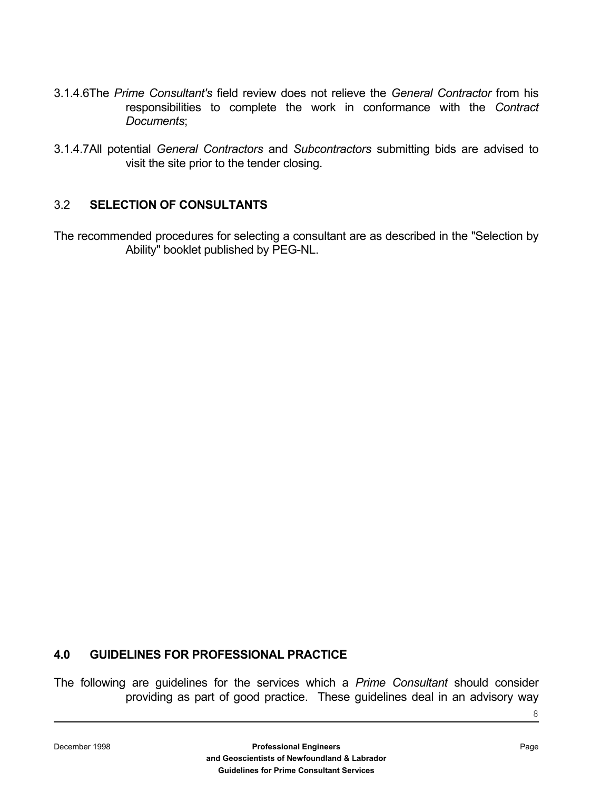- 3.1.4.6The *Prime Consultant's* field review does not relieve the *General Contractor* from his responsibilities to complete the work in conformance with the *Contract Documents*;
- 3.1.4.7All potential *General Contractors* and *Subcontractors* submitting bids are advised to visit the site prior to the tender closing.

#### 3.2 **SELECTION OF CONSULTANTS**

The recommended procedures for selecting a consultant are as described in the "Selection by Ability" booklet published by PEG-NL.

#### **4.0 GUIDELINES FOR PROFESSIONAL PRACTICE**

The following are guidelines for the services which a *Prime Consultant* should consider providing as part of good practice. These guidelines deal in an advisory way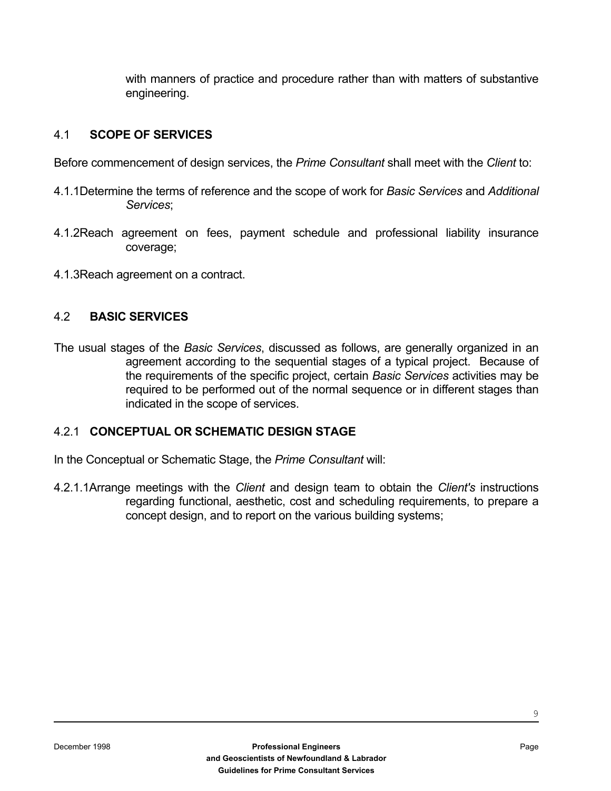with manners of practice and procedure rather than with matters of substantive engineering.

#### 4.1 **SCOPE OF SERVICES**

Before commencement of design services, the *Prime Consultant* shall meet with the *Client* to:

- 4.1.1Determine the terms of reference and the scope of work for *Basic Services* and *Additional Services*;
- 4.1.2Reach agreement on fees, payment schedule and professional liability insurance coverage;
- 4.1.3Reach agreement on a contract.

#### 4.2 **BASIC SERVICES**

The usual stages of the *Basic Services*, discussed as follows, are generally organized in an agreement according to the sequential stages of a typical project. Because of the requirements of the specific project, certain *Basic Services* activities may be required to be performed out of the normal sequence or in different stages than indicated in the scope of services.

#### 4.2.1 **CONCEPTUAL OR SCHEMATIC DESIGN STAGE**

In the Conceptual or Schematic Stage, the *Prime Consultant* will:

4.2.1.1Arrange meetings with the *Client* and design team to obtain the *Client's* instructions regarding functional, aesthetic, cost and scheduling requirements, to prepare a concept design, and to report on the various building systems;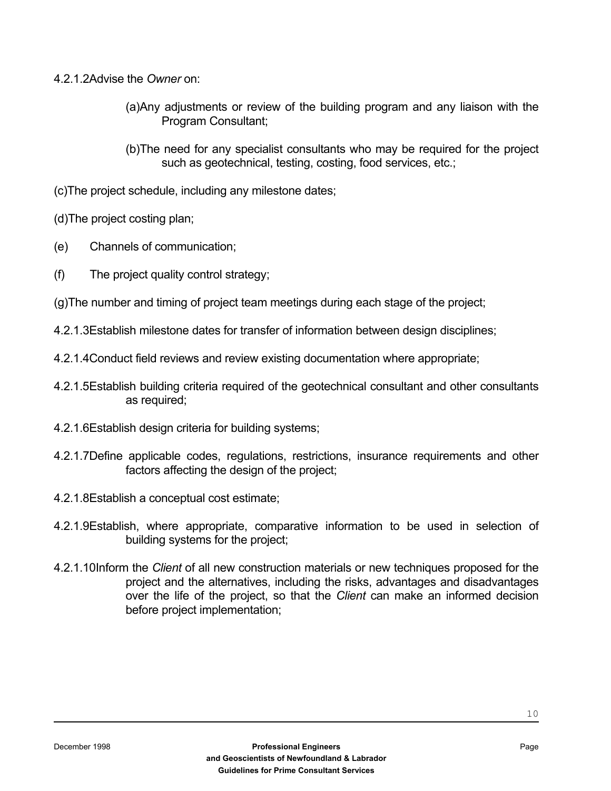- 4.2.1.2Advise the *Owner* on:
	- (a)Any adjustments or review of the building program and any liaison with the Program Consultant;
	- (b)The need for any specialist consultants who may be required for the project such as geotechnical, testing, costing, food services, etc.;
- (c)The project schedule, including any milestone dates;
- (d)The project costing plan;
- (e) Channels of communication;
- (f) The project quality control strategy;
- (g)The number and timing of project team meetings during each stage of the project;
- 4.2.1.3Establish milestone dates for transfer of information between design disciplines;
- 4.2.1.4Conduct field reviews and review existing documentation where appropriate;
- 4.2.1.5Establish building criteria required of the geotechnical consultant and other consultants as required;
- 4.2.1.6Establish design criteria for building systems;
- 4.2.1.7Define applicable codes, regulations, restrictions, insurance requirements and other factors affecting the design of the project;
- 4.2.1.8Establish a conceptual cost estimate;
- 4.2.1.9Establish, where appropriate, comparative information to be used in selection of building systems for the project;
- 4.2.1.10Inform the *Client* of all new construction materials or new techniques proposed for the project and the alternatives, including the risks, advantages and disadvantages over the life of the project, so that the *Client* can make an informed decision before project implementation;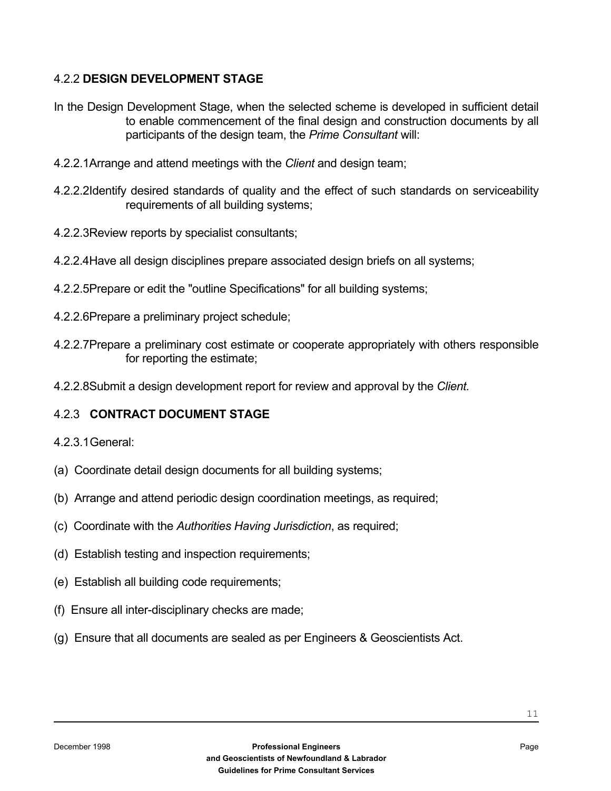#### 4.2.2 **DESIGN DEVELOPMENT STAGE**

- In the Design Development Stage, when the selected scheme is developed in sufficient detail to enable commencement of the final design and construction documents by all participants of the design team, the *Prime Consultant* will:
- 4.2.2.1Arrange and attend meetings with the *Client* and design team;
- 4.2.2.2Identify desired standards of quality and the effect of such standards on serviceability requirements of all building systems;
- 4.2.2.3Review reports by specialist consultants;
- 4.2.2.4Have all design disciplines prepare associated design briefs on all systems;
- 4.2.2.5Prepare or edit the "outline Specifications" for all building systems;
- 4.2.2.6Prepare a preliminary project schedule;
- 4.2.2.7Prepare a preliminary cost estimate or cooperate appropriately with others responsible for reporting the estimate;
- 4.2.2.8Submit a design development report for review and approval by the *Client.*

#### 4.2.3 **CONTRACT DOCUMENT STAGE**

- 4.2.3.1 General:
- (a) Coordinate detail design documents for all building systems;
- (b) Arrange and attend periodic design coordination meetings, as required;
- (c) Coordinate with the *Authorities Having Jurisdiction*, as required;
- (d) Establish testing and inspection requirements;
- (e) Establish all building code requirements;
- (f) Ensure all inter-disciplinary checks are made;
- (g) Ensure that all documents are sealed as per Engineers & Geoscientists Act.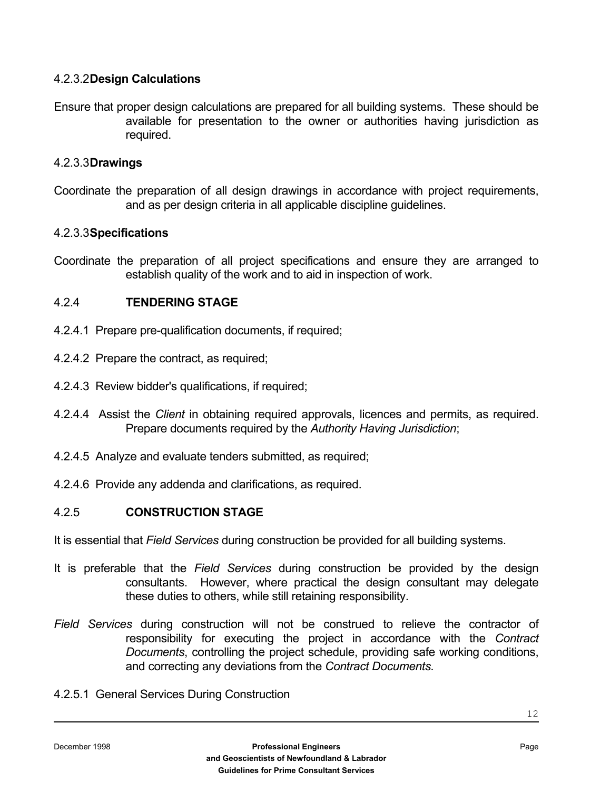#### 4.2.3.2 **Design Calculations**

Ensure that proper design calculations are prepared for all building systems. These should be available for presentation to the owner or authorities having jurisdiction as required.

#### 4.2.3.3 **Drawings**

Coordinate the preparation of all design drawings in accordance with project requirements, and as per design criteria in all applicable discipline guidelines.

#### 4.2.3.3 **Specifications**

Coordinate the preparation of all project specifications and ensure they are arranged to establish quality of the work and to aid in inspection of work.

#### 4.2.4 **TENDERING STAGE**

- 4.2.4.1 Prepare pre-qualification documents, if required;
- 4.2.4.2 Prepare the contract, as required;
- 4.2.4.3 Review bidder's qualifications, if required;
- 4.2.4.4 Assist the *Client* in obtaining required approvals, licences and permits, as required. Prepare documents required by the *Authority Having Jurisdiction*;
- 4.2.4.5 Analyze and evaluate tenders submitted, as required;
- 4.2.4.6 Provide any addenda and clarifications, as required.

#### 4.2.5 **CONSTRUCTION STAGE**

It is essential that *Field Services* during construction be provided for all building systems.

- It is preferable that the *Field Services* during construction be provided by the design consultants. However, where practical the design consultant may delegate these duties to others, while still retaining responsibility.
- *Field Services* during construction will not be construed to relieve the contractor of responsibility for executing the project in accordance with the *Contract Documents*, controlling the project schedule, providing safe working conditions, and correcting any deviations from the *Contract Documents.*
- 4.2.5.1 General Services During Construction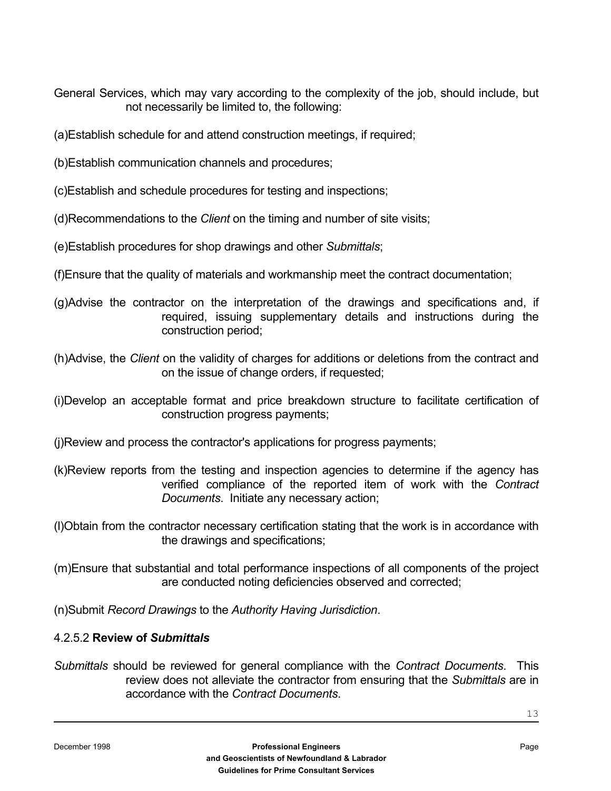General Services, which may vary according to the complexity of the job, should include, but not necessarily be limited to, the following:

(a)Establish schedule for and attend construction meetings, if required;

- (b)Establish communication channels and procedures;
- (c)Establish and schedule procedures for testing and inspections;
- (d)Recommendations to the *Client* on the timing and number of site visits;
- (e)Establish procedures for shop drawings and other *Submittals*;
- (f)Ensure that the quality of materials and workmanship meet the contract documentation;
- (g)Advise the contractor on the interpretation of the drawings and specifications and, if required, issuing supplementary details and instructions during the construction period;
- (h)Advise, the *Client* on the validity of charges for additions or deletions from the contract and on the issue of change orders, if requested;
- (i)Develop an acceptable format and price breakdown structure to facilitate certification of construction progress payments;
- (j)Review and process the contractor's applications for progress payments;
- (k)Review reports from the testing and inspection agencies to determine if the agency has verified compliance of the reported item of work with the *Contract Documents*. Initiate any necessary action;
- (l)Obtain from the contractor necessary certification stating that the work is in accordance with the drawings and specifications;

(m)Ensure that substantial and total performance inspections of all components of the project are conducted noting deficiencies observed and corrected;

(n)Submit *Record Drawings* to the *Authority Having Jurisdiction*.

#### 4.2.5.2 **Review of** *Submittals*

*Submittals* should be reviewed for general compliance with the *Contract Documents*. This review does not alleviate the contractor from ensuring that the *Submittals* are in accordance with the *Contract Documents*.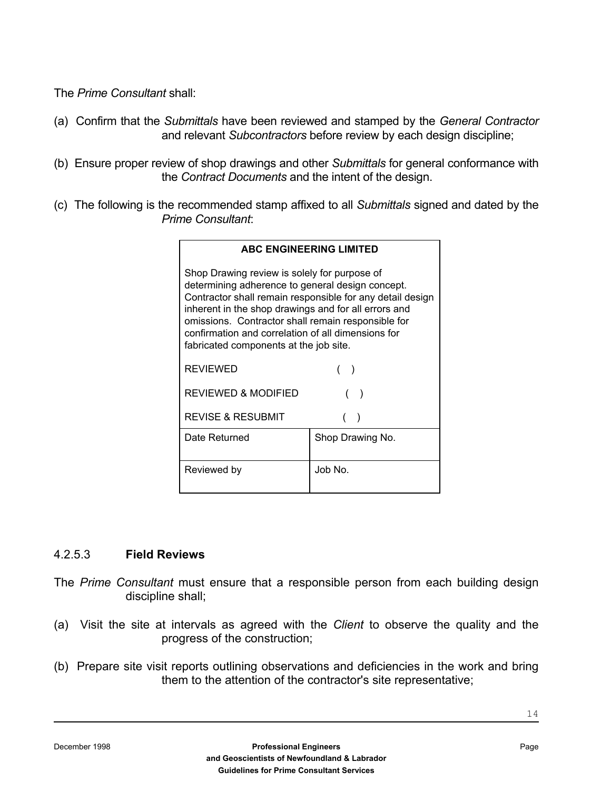The *Prime Consultant* shall:

- (a) Confirm that the *Submittals* have been reviewed and stamped by the *General Contractor* and relevant *Subcontractors* before review by each design discipline;
- (b) Ensure proper review of shop drawings and other *Submittals* for general conformance with the *Contract Documents* and the intent of the design.
- (c) The following is the recommended stamp affixed to all *Submittals* signed and dated by the *Prime Consultant*:

| <b>ABC ENGINEERING LIMITED</b>                                                                                                                                                                                                                                                                                                                                              |                  |  |
|-----------------------------------------------------------------------------------------------------------------------------------------------------------------------------------------------------------------------------------------------------------------------------------------------------------------------------------------------------------------------------|------------------|--|
| Shop Drawing review is solely for purpose of<br>determining adherence to general design concept.<br>Contractor shall remain responsible for any detail design<br>inherent in the shop drawings and for all errors and<br>omissions. Contractor shall remain responsible for<br>confirmation and correlation of all dimensions for<br>fabricated components at the job site. |                  |  |
| <b>REVIEWED</b>                                                                                                                                                                                                                                                                                                                                                             |                  |  |
| <b>REVIEWED &amp; MODIFIED</b>                                                                                                                                                                                                                                                                                                                                              |                  |  |
| <b>REVISE &amp; RESUBMIT</b>                                                                                                                                                                                                                                                                                                                                                |                  |  |
| Date Returned                                                                                                                                                                                                                                                                                                                                                               | Shop Drawing No. |  |
| Reviewed by                                                                                                                                                                                                                                                                                                                                                                 | Job No.          |  |

#### 4.2.5.3 **Field Reviews**

- The *Prime Consultant* must ensure that a responsible person from each building design discipline shall;
- (a) Visit the site at intervals as agreed with the *Client* to observe the quality and the progress of the construction;
- (b) Prepare site visit reports outlining observations and deficiencies in the work and bring them to the attention of the contractor's site representative;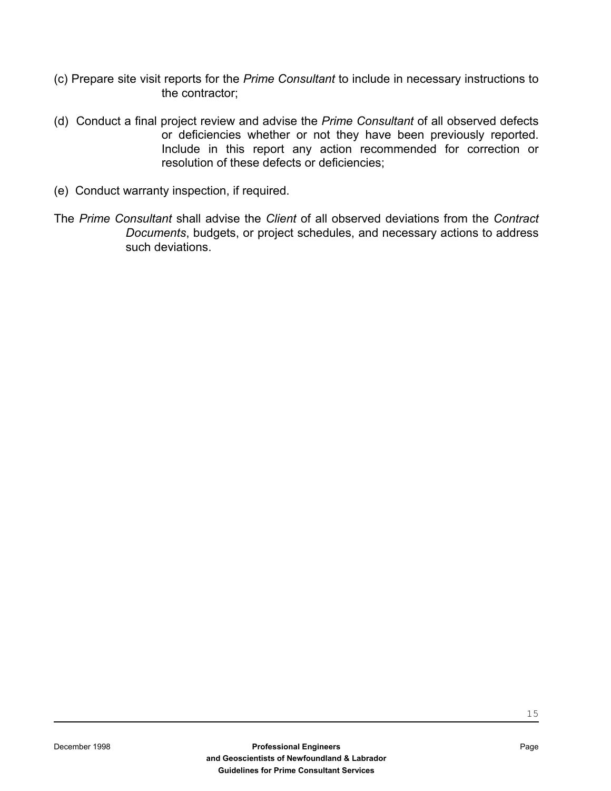- (c) Prepare site visit reports for the *Prime Consultant* to include in necessary instructions to the contractor;
- (d) Conduct a final project review and advise the *Prime Consultant* of all observed defects or deficiencies whether or not they have been previously reported. Include in this report any action recommended for correction or resolution of these defects or deficiencies;
- (e) Conduct warranty inspection, if required.
- The *Prime Consultant* shall advise the *Client* of all observed deviations from the *Contract Documents*, budgets, or project schedules, and necessary actions to address such deviations.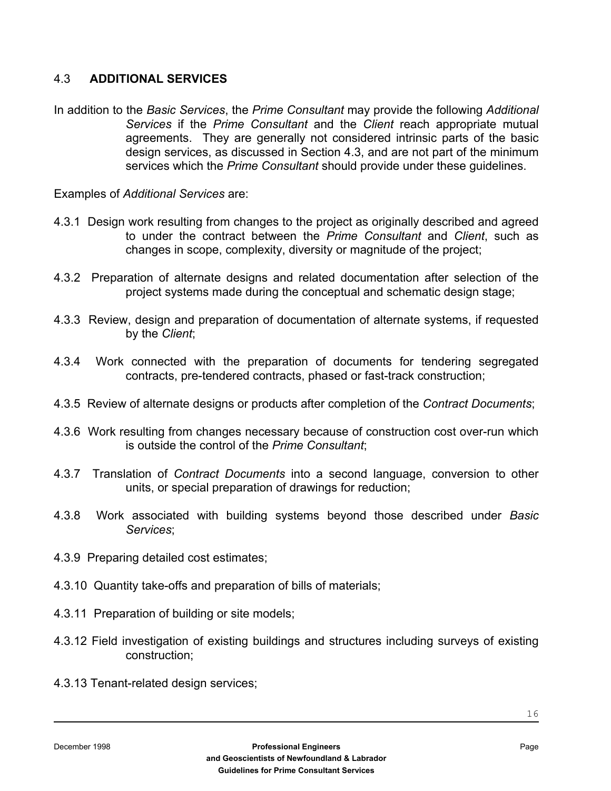#### 4.3 **ADDITIONAL SERVICES**

In addition to the *Basic Services*, the *Prime Consultant* may provide the following *Additional Services* if the *Prime Consultant* and the *Client* reach appropriate mutual agreements. They are generally not considered intrinsic parts of the basic design services, as discussed in Section 4.3, and are not part of the minimum services which the *Prime Consultant* should provide under these guidelines.

Examples of *Additional Services* are:

- 4.3.1 Design work resulting from changes to the project as originally described and agreed to under the contract between the *Prime Consultant* and *Client*, such as changes in scope, complexity, diversity or magnitude of the project;
- 4.3.2 Preparation of alternate designs and related documentation after selection of the project systems made during the conceptual and schematic design stage;
- 4.3.3 Review, design and preparation of documentation of alternate systems, if requested by the *Client*;
- 4.3.4 Work connected with the preparation of documents for tendering segregated contracts, pre-tendered contracts, phased or fast-track construction;
- 4.3.5 Review of alternate designs or products after completion of the *Contract Documents*;
- 4.3.6 Work resulting from changes necessary because of construction cost over-run which is outside the control of the *Prime Consultant*;
- 4.3.7 Translation of *Contract Documents* into a second language, conversion to other units, or special preparation of drawings for reduction;
- 4.3.8 Work associated with building systems beyond those described under *Basic Services*;
- 4.3.9 Preparing detailed cost estimates;
- 4.3.10 Quantity take-offs and preparation of bills of materials;
- 4.3.11 Preparation of building or site models;
- 4.3.12 Field investigation of existing buildings and structures including surveys of existing construction;
- 4.3.13 Tenant-related design services;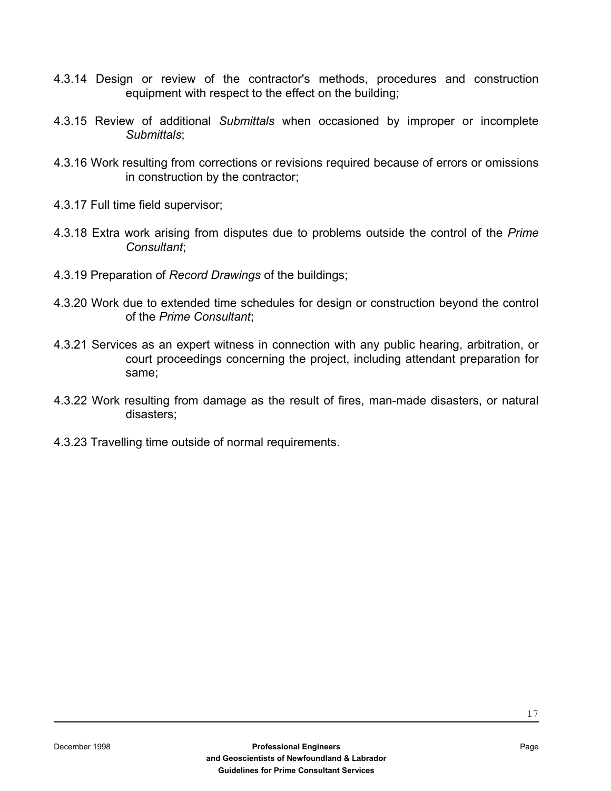- 4.3.14 Design or review of the contractor's methods, procedures and construction equipment with respect to the effect on the building;
- 4.3.15 Review of additional *Submittals* when occasioned by improper or incomplete *Submittals*;
- 4.3.16 Work resulting from corrections or revisions required because of errors or omissions in construction by the contractor;
- 4.3.17 Full time field supervisor;
- 4.3.18 Extra work arising from disputes due to problems outside the control of the *Prime Consultant*;
- 4.3.19 Preparation of *Record Drawings* of the buildings;
- 4.3.20 Work due to extended time schedules for design or construction beyond the control of the *Prime Consultant*;
- 4.3.21 Services as an expert witness in connection with any public hearing, arbitration, or court proceedings concerning the project, including attendant preparation for same;
- 4.3.22 Work resulting from damage as the result of fires, man-made disasters, or natural disasters;
- 4.3.23 Travelling time outside of normal requirements.